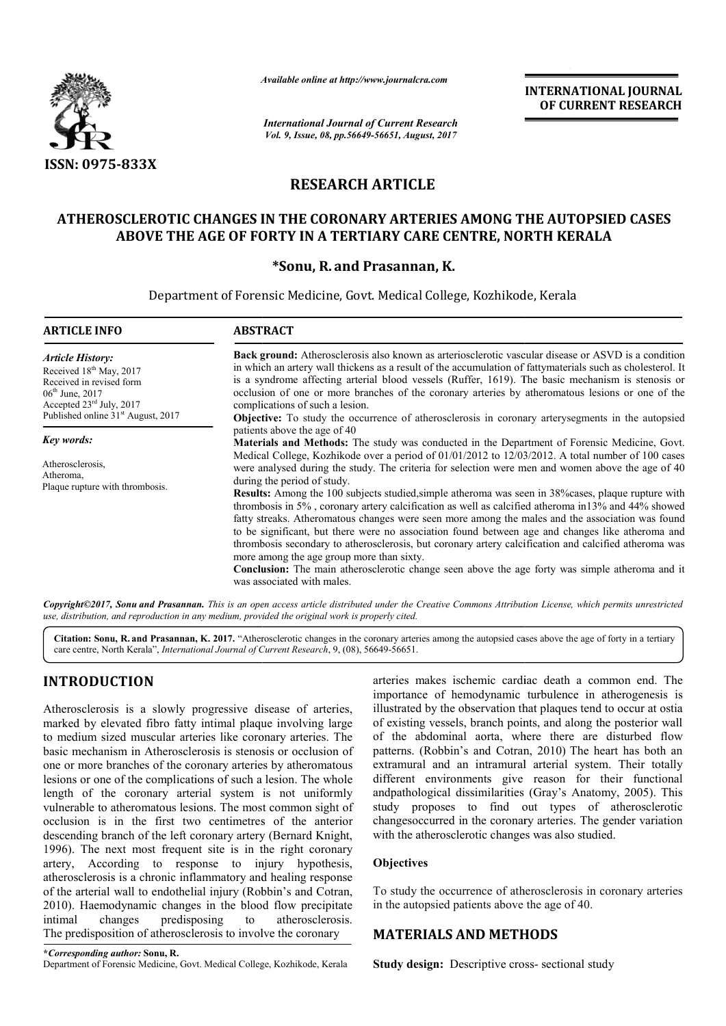

*Available online at http://www.journal http://www.journalcra.com*

*International Journal of Current Research Vol. 9, Issue, 08, pp.56649-56651, August, 2017* **INTERNATIONAL JOURNAL OF CURRENT RESEARCH** 

# **RESEARCH ARTICLE**

## ATHEROSCLEROTIC CHANGES IN THE CORONARY ARTERIES AMONG THE AUTOPSIED CASES ABOVE THE AGE OF FORTY IN A TERTIARY CARE CENTRE, NORTH KERALA

### **\*Sonu, R. and Prasannan, K.**

Department of Forensic Medicine, Govt. Medical College, Kozhikode, Kerala

| <b>ARTICLE INFO</b>                                                                                                                                                                                       | <b>ABSTRACT</b>                                                                                                                                                                                                                                                                                                                                                                                                                                                                                                                                                                 |  |  |
|-----------------------------------------------------------------------------------------------------------------------------------------------------------------------------------------------------------|---------------------------------------------------------------------------------------------------------------------------------------------------------------------------------------------------------------------------------------------------------------------------------------------------------------------------------------------------------------------------------------------------------------------------------------------------------------------------------------------------------------------------------------------------------------------------------|--|--|
| <b>Article History:</b><br>Received 18 <sup>th</sup> May, 2017<br>Received in revised form<br>$06^{\text{th}}$ June, 2017<br>Accepted $23rd$ July, 2017<br>Published online 31 <sup>st</sup> August, 2017 | <b>Back ground:</b> Atherosclerosis also known as arteriosclerotic vascular disease or ASVD is a condition<br>in which an artery wall thickens as a result of the accumulation of fattymaterials such as cholesterol. It<br>is a syndrome affecting arterial blood vessels (Ruffer, 1619). The basic mechanism is stenosis or<br>occlusion of one or more branches of the coronary arteries by atheromatous lesions or one of the<br>complications of such a lesion.                                                                                                            |  |  |
|                                                                                                                                                                                                           | <b>Objective:</b> To study the occurrence of atherosclerosis in coronary arterysegments in the autopsied<br>patients above the age of 40                                                                                                                                                                                                                                                                                                                                                                                                                                        |  |  |
| Key words:<br>Atherosclerosis,<br>Atheroma,<br>Plaque rupture with thrombosis.                                                                                                                            | <b>Materials and Methods:</b> The study was conducted in the Department of Forensic Medicine, Govt.<br>Medical College, Kozhikode over a period of 01/01/2012 to 12/03/2012. A total number of 100 cases<br>were analysed during the study. The criteria for selection were men and women above the age of 40<br>during the period of study.                                                                                                                                                                                                                                    |  |  |
|                                                                                                                                                                                                           | <b>Results:</b> Among the 100 subjects studied, simple atheroma was seen in 38% cases, plaque rupture with<br>thrombosis in 5%, coronary artery calcification as well as calcified atheroma in 13% and 44% showed<br>fatty streaks. Atheromatous changes were seen more among the males and the association was found<br>to be significant, but there were no association found between age and changes like atheroma and<br>thrombosis secondary to atherosclerosis, but coronary artery calcification and calcified atheroma was<br>more among the age group more than sixty. |  |  |
|                                                                                                                                                                                                           | <b>Conclusion:</b> The main atherosclerotic change seen above the age forty was simple atheroma and it<br>was associated with males.                                                                                                                                                                                                                                                                                                                                                                                                                                            |  |  |

*Copyright©2017, Sonu and Prasannan. This is an open access article distributed under the Creative Commons Att Attribution License, which ribution License, permits unrestricted use, distribution, and reproduction in any medium, provided the original work is properly cited.*

Citation: Sonu, R. and Prasannan, K. 2017. "Atherosclerotic changes in the coronary arteries among the autopsied cases above the age of forty in a tertiary Citation: Sonu, R. and Prasannan, K. 2017. "Atherosclerotic changes in the coronary arter care centre, North Kerala", *International Journal of Current Research*, 9, (08), 56649-56651.

### **INTRODUCTION**

Atherosclerosis is a slowly progressive disease of arteries, marked by elevated fibro fatty intimal plaque involving large to medium sized muscular arteries like coronary arteries. The basic mechanism in Atherosclerosis is stenosis or occlusion of one or more branches of the coronary arteries by atheromatous lesions or one of the complications of such a lesion. The whole length of the coronary arterial system is not uniformly vulnerable to atheromatous lesions. The most common sight of occlusion is in the first two centimetres of the anterior descending branch of the left coronary artery (Bernard Knight, 1996). The next most frequent site is in the right coronary artery, According to response to injury hypothesis, atherosclerosis is a chronic inflammatory and healing response of the arterial wall to endothelial injury (Robbin's and Cotran, 2010). Haemodynamic changes in the blood flow precipitate intimal changes predisposing to atherosclerosis. The predisposition of atherosclerosis to involve the coronary **RODUCTION**<br> **EXECUTE ANTERNAMIES ARENT ANTERNAMIES ARENT AND SURFAMIES ARENT ARENT ARENT ARENT ARENT ARENT ARENT ARENT ARENT ARENT ARENT ARENT ARENT ARENT ARENT ARENT ARENT ARENT ARENT ARENT ARENT ARENT ARENT ARENT ARENT** 

importance of hemodynamic turbulence in atherogenesis is importance of hemodynamic turbulence in atherogenesis is illustrated by the observation that plaques tend to occur at ostia of existing vessels, branch points, and along the posterior wall of existing vessels, branch points, and along the posterior wall<br>of the abdominal aorta, where there are disturbed flow patterns. (Robbin's and Cotran, 2010) The heart has both an extramural and an intramural arterial system. Their totally different environments give reason for their functional different environments give reason for their functional andpathological dissimilarities (Gray's Anatomy, 2005). This study proposes to find out types of atherosclerotic changesoccurred in the coronary arteries. The gender variation with the atherosclerotic changes was a also studied.

### **Objectives**

To study the occurrence of atherosclerosis in coronary arteries in the autopsied patients above the age of 40.

### **MATERIALS AND METHODS METHODS**

**\****Corresponding author:* **Sonu, R.** Department of Forensic Medicine, Govt. Medical College, Kozhikode, Kerala

Study design: Descriptive cross- sectional study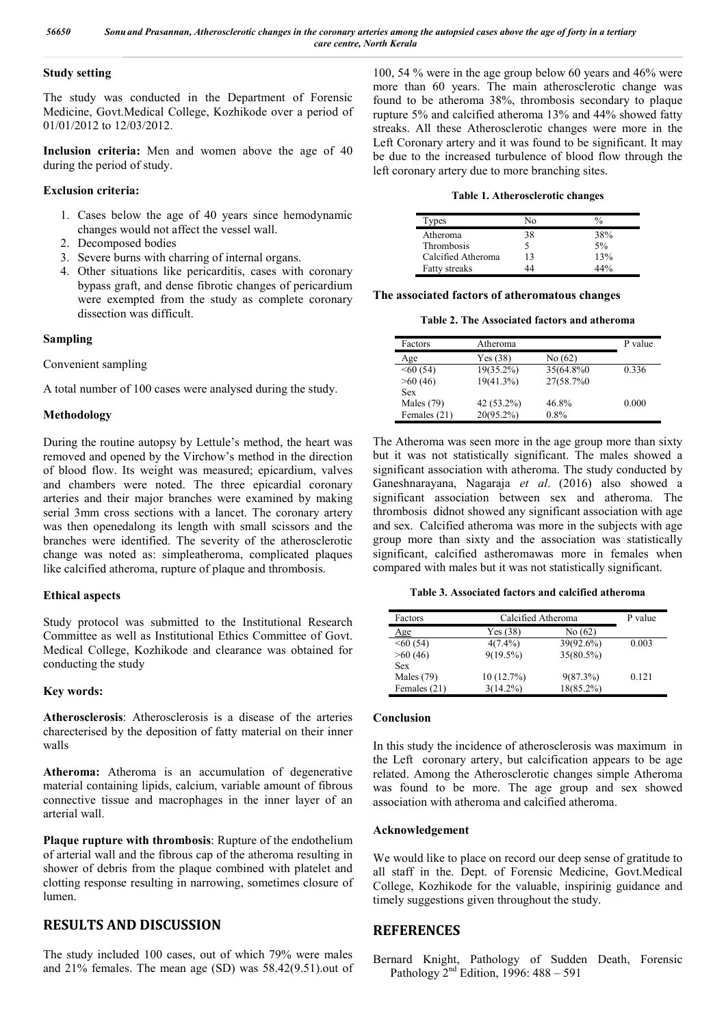#### **Study setting**

The study was conducted in the Department of Forensic Medicine, Govt.Medical College, Kozhikode over a period of 01/01/2012 to 12/03/2012.

**Inclusion criteria:** Men and women above the age of 40 during the period of study.

#### **Exclusion criteria:**

- 1. Cases below the age of 40 years since hemodynamic changes would not affect the vessel wall.
- 2. Decomposed bodies
- 3. Severe burns with charring of internal organs.
- 4. Other situations like pericarditis, cases with coronary bypass graft, and dense fibrotic changes of pericardium were exempted from the study as complete coronary dissection was difficult.

### **Sampling**

Convenient sampling

A total number of 100 cases were analysed during the study.

### **Methodology**

During the routine autopsy by Lettule's method, the heart was removed and opened by the Virchow's method in the direction of blood flow. Its weight was measured; epicardium, valves and chambers were noted. The three epicardial coronary arteries and their major branches were examined by making serial 3mm cross sections with a lancet. The coronary artery was then openedalong its length with small scissors and the branches were identified. The severity of the atherosclerotic change was noted as: simpleatheroma, complicated plaques like calcified atheroma, rupture of plaque and thrombosis.

### **Ethical aspects**

Study protocol was submitted to the Institutional Research Committee as well as Institutional Ethics Committee of Govt. Medical College, Kozhikode and clearance was obtained for conducting the study

### **Key words:**

**Atherosclerosis**: Atherosclerosis is a disease of the arteries charecterised by the deposition of fatty material on their inner walls

**Atheroma:** Atheroma is an accumulation of degenerative material containing lipids, calcium, variable amount of fibrous connective tissue and macrophages in the inner layer of an arterial wall.

**Plaque rupture with thrombosis**: Rupture of the endothelium of arterial wall and the fibrous cap of the atheroma resulting in shower of debris from the plaque combined with platelet and clotting response resulting in narrowing, sometimes closure of lumen.

### **RESULTS AND DISCUSSION**

The study included 100 cases, out of which 79% were males and 21% females. The mean age (SD) was 58.42(9.51).out of 100, 54 % were in the age group below 60 years and 46% were more than 60 years. The main atherosclerotic change was found to be atheroma 38%, thrombosis secondary to plaque rupture 5% and calcified atheroma 13% and 44% showed fatty streaks. All these Atherosclerotic changes were more in the Left Coronary artery and it was found to be significant. It may be due to the increased turbulence of blood flow through the left coronary artery due to more branching sites.

**Table 1. Atherosclerotic changes**

| ypes                 | ∖∩ |     |
|----------------------|----|-----|
| Atheroma             | 38 | 38% |
| Thrombosis           |    | 5%  |
| Calcified Atheroma   | 13 | 13% |
| <b>Fatty streaks</b> |    |     |

### **The associated factors of atheromatous changes**

**Table 2. The Associated factors and atheroma**

| Factors       | Atheroma     |           | P value |
|---------------|--------------|-----------|---------|
| Age           | Yes (38)     | No(62)    |         |
| $\leq 60(54)$ | 19(35.2%)    | 35(64.8%) | 0.336   |
| >60(46)       | 19(41.3%)    | 27(58.7%) |         |
| <b>Sex</b>    |              |           |         |
| Males $(79)$  | 42 (53.2%)   | 46.8%     | 0.000   |
| Females (21)  | $20(95.2\%)$ | $0.8\%$   |         |

The Atheroma was seen more in the age group more than sixty but it was not statistically significant. The males showed a significant association with atheroma. The study conducted by Ganeshnarayana, Nagaraja *et al*. (2016) also showed a significant association between sex and atheroma. The thrombosis didnot showed any significant association with age and sex. Calcified atheroma was more in the subjects with age group more than sixty and the association was statistically significant, calcified astheromawas more in females when compared with males but it was not statistically significant.

**Table 3. Associated factors and calcified atheroma**

| Factors       | Calcified Atheroma |             | P value |
|---------------|--------------------|-------------|---------|
| Age           | Yes (38)           | No (62)     |         |
| $\leq 60(54)$ | $4(7.4\%)$         | 39(92.6%)   | 0.003   |
| >60(46)       | $9(19.5\%)$        | 35(80.5%)   |         |
| <b>Sex</b>    |                    |             |         |
| Males $(79)$  | 10(12.7%)          | $9(87.3\%)$ | 0.121   |
| Females (21)  | $3(14.2\%)$        | 18(85.2%)   |         |

### **Conclusion**

In this study the incidence of atherosclerosis was maximum in the Left coronary artery, but calcification appears to be age related. Among the Atherosclerotic changes simple Atheroma was found to be more. The age group and sex showed association with atheroma and calcified atheroma.

### **Acknowledgement**

We would like to place on record our deep sense of gratitude to all staff in the. Dept. of Forensic Medicine, Govt.Medical College, Kozhikode for the valuable, inspirinig guidance and timely suggestions given throughout the study.

### **REFERENCES**

Bernard Knight, Pathology of Sudden Death, Forensic Pathology 2nd Edition, 1996: 488 – 591